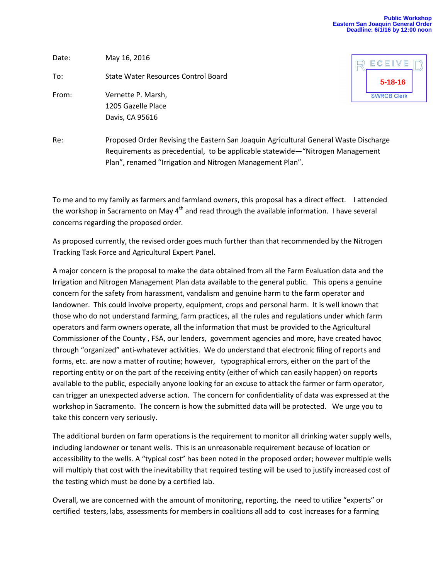## **Public Workshop Eastern San Joaquin General Order Deadline: 6/1/16 by 12:00 noon**

Date: May 16, 2016 To: State Water Resources Control Board From: Vernette P. Marsh, 1205 Gazelle Place Davis, CA 95616



Re: Proposed Order Revising the Eastern San Joaquin Agricultural General Waste Discharge Requirements as precedential, to be applicable statewide—"Nitrogen Management Plan", renamed "Irrigation and Nitrogen Management Plan".

To me and to my family as farmers and farmland owners, this proposal has a direct effect. I attended the workshop in Sacramento on May  $4<sup>th</sup>$  and read through the available information. I have several concerns regarding the proposed order.

As proposed currently, the revised order goes much further than that recommended by the Nitrogen Tracking Task Force and Agricultural Expert Panel.

A major concern is the proposal to make the data obtained from all the Farm Evaluation data and the Irrigation and Nitrogen Management Plan data available to the general public. This opens a genuine concern for the safety from harassment, vandalism and genuine harm to the farm operator and landowner. This could involve property, equipment, crops and personal harm. It is well known that those who do not understand farming, farm practices, all the rules and regulations under which farm operators and farm owners operate, all the information that must be provided to the Agricultural Commissioner of the County , FSA, our lenders, government agencies and more, have created havoc through "organized" anti-whatever activities. We do understand that electronic filing of reports and forms, etc. are now a matter of routine; however, typographical errors, either on the part of the reporting entity or on the part of the receiving entity (either of which can easily happen) on reports available to the public, especially anyone looking for an excuse to attack the farmer or farm operator, can trigger an unexpected adverse action. The concern for confidentiality of data was expressed at the workshop in Sacramento. The concern is how the submitted data will be protected. We urge you to take this concern very seriously.

The additional burden on farm operations is the requirement to monitor all drinking water supply wells, including landowner or tenant wells. This is an unreasonable requirement because of location or accessibility to the wells. A "typical cost" has been noted in the proposed order; however multiple wells will multiply that cost with the inevitability that required testing will be used to justify increased cost of the testing which must be done by a certified lab.

Overall, we are concerned with the amount of monitoring, reporting, the need to utilize "experts" or certified testers, labs, assessments for members in coalitions all add to cost increases for a farming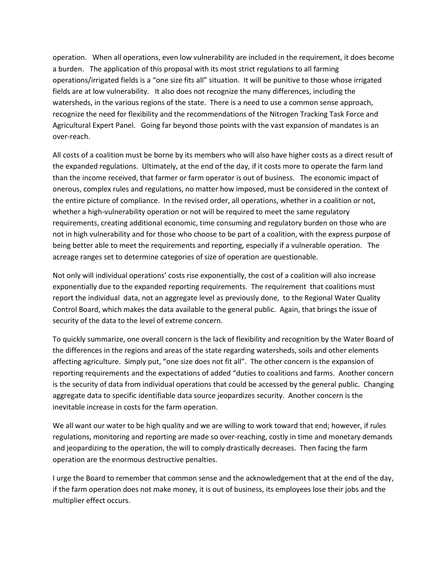operation. When all operations, even low vulnerability are included in the requirement, it does become a burden. The application of this proposal with its most strict regulations to all farming operations/irrigated fields is a "one size fits all" situation. It will be punitive to those whose irrigated fields are at low vulnerability. It also does not recognize the many differences, including the watersheds, in the various regions of the state. There is a need to use a common sense approach, recognize the need for flexibility and the recommendations of the Nitrogen Tracking Task Force and Agricultural Expert Panel. Going far beyond those points with the vast expansion of mandates is an over-reach.

All costs of a coalition must be borne by its members who will also have higher costs as a direct result of the expanded regulations. Ultimately, at the end of the day, if it costs more to operate the farm land than the income received, that farmer or farm operator is out of business. The economic impact of onerous, complex rules and regulations, no matter how imposed, must be considered in the context of the entire picture of compliance. In the revised order, all operations, whether in a coalition or not, whether a high-vulnerability operation or not will be required to meet the same regulatory requirements, creating additional economic, time consuming and regulatory burden on those who are not in high vulnerability and for those who choose to be part of a coalition, with the express purpose of being better able to meet the requirements and reporting, especially if a vulnerable operation. The acreage ranges set to determine categories of size of operation are questionable.

Not only will individual operations' costs rise exponentially, the cost of a coalition will also increase exponentially due to the expanded reporting requirements. The requirement that coalitions must report the individual data, not an aggregate level as previously done, to the Regional Water Quality Control Board, which makes the data available to the general public. Again, that brings the issue of security of the data to the level of extreme concern.

To quickly summarize, one overall concern is the lack of flexibility and recognition by the Water Board of the differences in the regions and areas of the state regarding watersheds, soils and other elements affecting agriculture. Simply put, "one size does not fit all". The other concern is the expansion of reporting requirements and the expectations of added "duties to coalitions and farms. Another concern is the security of data from individual operations that could be accessed by the general public. Changing aggregate data to specific identifiable data source jeopardizes security. Another concern is the inevitable increase in costs for the farm operation.

We all want our water to be high quality and we are willing to work toward that end; however, if rules regulations, monitoring and reporting are made so over-reaching, costly in time and monetary demands and jeopardizing to the operation, the will to comply drastically decreases. Then facing the farm operation are the enormous destructive penalties.

I urge the Board to remember that common sense and the acknowledgement that at the end of the day, if the farm operation does not make money, it is out of business, its employees lose their jobs and the multiplier effect occurs.